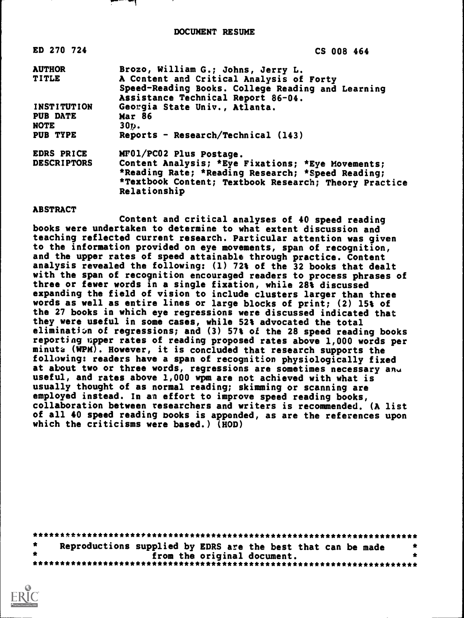DOCUMENT RESUME

| ED 270 724         | CS 008 464                                                                                                                          |
|--------------------|-------------------------------------------------------------------------------------------------------------------------------------|
| <b>AUTHOR</b>      | Brozo, William G.; Johns, Jerry L.                                                                                                  |
| <b>TITLE</b>       | A Content and Critical Analysis of Forty<br>Speed-Reading Books. College Reading and Learning<br>Assistance Technical Report 86-04. |
| <b>INSTITUTION</b> | Georgia State Univ., Atlanta.                                                                                                       |
| <b>PUB DATE</b>    | <b>Mar 86</b>                                                                                                                       |
| NOTE               | 30p.                                                                                                                                |
| PUB TYPE           | Reports - Research/Technical (143)                                                                                                  |
| EDRS PRICE         | MF01/PC02 Plus Postage.                                                                                                             |
| <b>DESCRIPTORS</b> | Content Analysis; *Eye Fixations; *Eye Movements;                                                                                   |
|                    | *Reading Rate; *Reading Research; *Speed Reading;<br>*Textbook Content; Textbook Research; Theory Practice<br>Relationship          |

#### ABSTRACT

Content and critical analyses of 40 speed reading books were undertaken to determine to what extent discussion and teaching reflected current research. Particular attention was given to the information provided on eye movements, span of recognition, and the upper rates of speed attainable through practice. Content analysis revealed the following: (1) 72% of the 32 books that dealt with the span of recognition encouraged readers to process phrases of three or fewer words in a single fixation, while 28% discussed expanding the field of vision to include clusters larger than three words as well as entire lines or large blocks of print; (2) 15% of the 27 books in which eye regressions were discussed indicated that they were useful in some cases, while 52% advocated the total eliminatizn of regressions; and (3) 57% of the 28 speed reading books reporting upper rates of reading proposed rates above 1,000 words per minute (WPM). However, it is concluded that research supports the following: readers have a span of recognition physiologically fixed at about two or three words, regressions are sometimes necessary and useful, and rates above 1,000 wpm are not achieved with what is usually thought of as normal reading; skimming or scanning are employed instead. In an effort to improve speed reading books, collaboration between researchers and writers is recommended. (A list of all 40 speed reading books is appended, as are the references upon which the criticisms were based.)  $(HOD)$ 

| Reproductions supplied by EDRS are the best that can be made |                             |  |  |
|--------------------------------------------------------------|-----------------------------|--|--|
|                                                              | from the original document. |  |  |
|                                                              |                             |  |  |

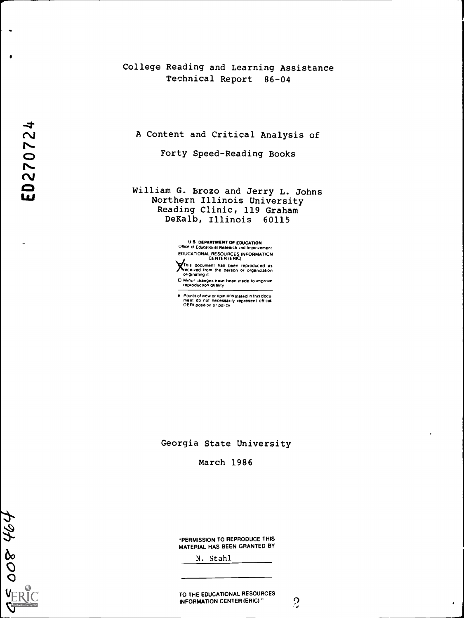# College Reading and Learning Assistance Technical Report 86-04

A Content and Critical Analysis of

Forty Speed-Reading Books

William G. Brozo and Jerry L. Johns Northern Illinois University Reading Clinic, 119 Graham DeKalb, Illinois 60115

> U S DEPARTMENT OF EDUCATION Office of Educational Research and Improvement EDUCATIONAL RESOURCES INFORMATION CENTER (ERIC)

This document has been reproduced as<br>¥eceived from the person or organization<br>originating it

0 Minor changes have been made to improve reproduction quality

Points of view or opinions stated in thisdocu ment do not necessarily represent official OERI position or policy

Georgia State University

March 1986

 $\overline{t}$ 

 $\bullet$ 

 $\sim$ 

"PERMISSION TO REPRODUCE THIS MATERIAL HAS BEEN GRANTED BY

N. Stahl

TO THE EDUCATIONAL RESOURCES<br>INFORMATION CENTER (ERIC) " INFORMATION CENTER (ERIC)"

 $\bullet$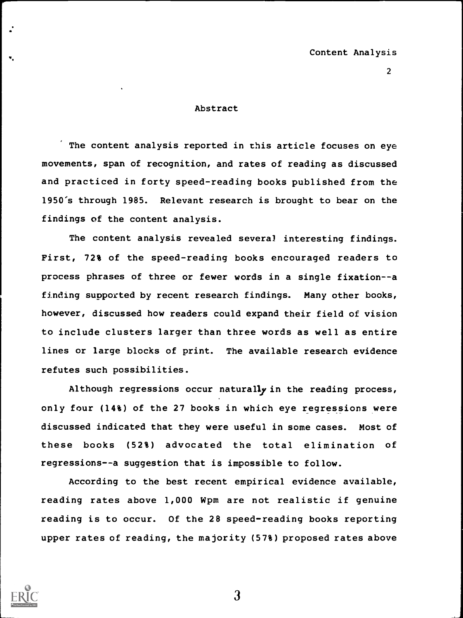## Abstract

The content analysis reported in this article focuses on eye movements, span of recognition, and rates of reading as discussed and practiced in forty speed-reading books published from the 1950's through 1985. Relevant research is brought to bear on the findings of the content analysis.

The content analysis revealed several interesting findings. First, 72% of the speed-reading books encouraged readers to process phrases of three or fewer words in a single fixation--a finding supported by recent research findings. Many other books, however, discussed how readers could expand their field of vision to include clusters larger than three words as well as entire lines or large blocks of print. The available research evidence refutes such possibilities.

Although regressions occur naturally in the reading process, only four (14%) of the 27 books in which eye regressions were discussed indicated that they were useful in some cases. Most of these books (52%) advocated the total elimination of regressions--a suggestion that is impossible to follow.

According to the best recent empirical evidence available, reading rates above 1,000 Wpm are not realistic if genuine reading is to occur. Of the 28 speed-reading books reporting upper rates of reading, the majority (57%) proposed rates above

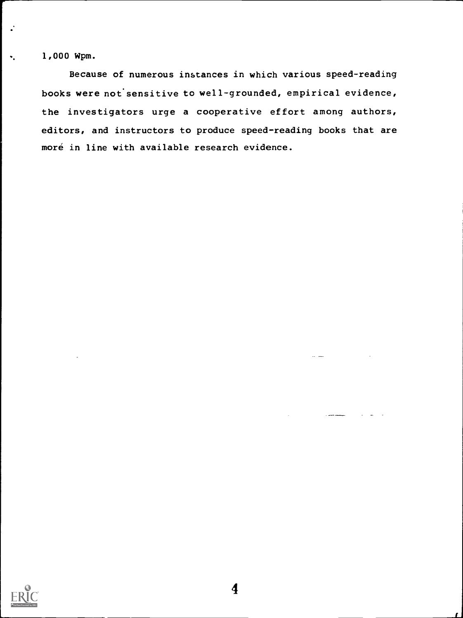1,000 Wpm.

 $\Psi_{\mu}$ 

Because of numerous instances in which various speed-reading books were not'sensitive to well-grounded, empirical evidence, the investigators urge a cooperative effort among authors, editors, and instructors to produce speed-reading books that are moré in line with available research evidence.



 $\mathbb{R}^2$  and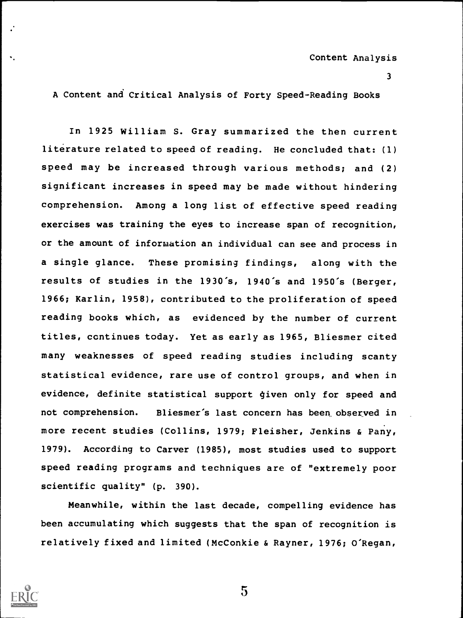A Content and Critical Analysis of Forty Speed-Reading Books

In 1925 William S. Gray summarized the then current literature related to speed of reading. He concluded that: (1) speed may be increased through various methods; and (2) significant increases in speed may be made without hindering comprehension. Among a long list of effective speed reading exercises was training the eyes to increase span of recognition, or the amount of information an individual can see and process in a single glance. These promising findings, along with the results of studies in the 1930's, 1940's and 1950's (Berger, 1966; Karlin, 1958), contributed to the proliferation of speed reading books which, as evidenced by the number of current titles, ccntinues today. Yet as early as 1965, Bliesmer cited many weaknesses of speed reading studies including scanty statistical evidence, rare use of control groups, and when in evidence, definite statistical support given only for speed and not comprehension. Bliesmer's last concern has been observed in more recent studies (Collins, 1979; Fleisher, Jenkins & Pany, 1979). According to Carver (1985), most studies used to support speed reading programs and techniques are of "extremely poor scientific quality" (p. 390).

Meanwhile, within the last decade, compelling evidence has been accumulating which suggests that the span of recognition is relatively fixed and limited (McConkie & Rayner, 1976; O'Regan,

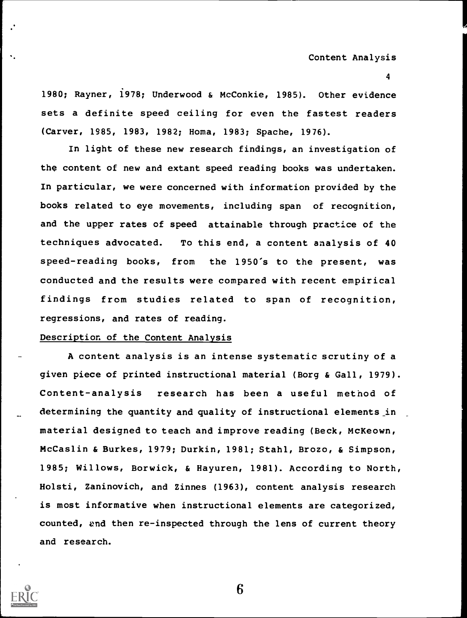1980; Rayner, 1978; Underwood & McConkie, 1985). Other evidence sets a definite speed ceiling for even the fastest readers (Carver, 1985, 1983, 1982; Homa, 1983; Spache, 1976).

In light of these new research findings, an investigation of the content of new and extant speed reading books was undertaken. In particular, we were concerned with information provided by the books related to eye movements, including span of recognition, and the upper rates of speed attainable through practice of the techniques advocated. To this end, a content analysis of 40 speed-reading books, from the 1950's to the present, was conducted and the results were compared with recent empirical findings from studies related to span of recognition, regressions, and rates of reading.

## Description of the Content Analysis

A content analysis is an intense systematic scrutiny of a given piece of printed instructional material (Borg & Gall, 1979). Content-analysis research has been a useful method of determining the quantity and quality of instructional elements\_in material designed to teach and improve reading (Beck, McKeown, McCaslin & Burkes, 1979; Durkin, 1981; Stahl, Brozo, & Simpson, 1985; Willows, Borwick, & Hayuren, 1981). According to North, Holsti, Zaninovich, and Zinnes (1963), content analysis research is most informative when instructional elements are categorized, counted, and then re-inspected through the lens of current theory and research.

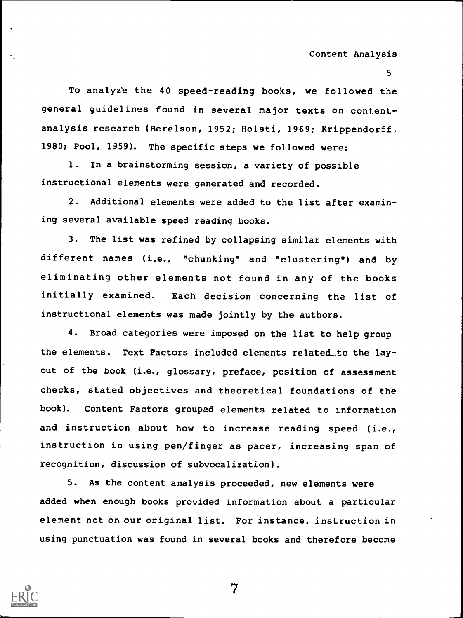To analyze the 40 speed-reading books, we followed the general guidelines found in several major texts on contentanalysis research (Berelson, 1952; Holsti, 1969; Krippendorff, 1980; Pool, 1959). The specific steps we followed were:

1. In a brainstorming session, a variety of possible instructional elements were generated and recorded.

2. Additional elements were added to the list after examining several available speed reading books.

3. The list was refined by collapsing similar elements with different names (i.e., "chunking" and "clustering") and by eliminating other elements not found in any of the books initially examined. Each decision concerning the list of instructional elements was made jointly by the authors.

4. Broad categories were imposed on the list to help group the elements. Text Factors included elements related\_to the layout of the book (i.e., glossary, preface, position of assessment checks, stated objectives and theoretical foundations of the book). Content Factors grouped elements related to information and instruction about how to increase reading speed (i.e., instruction in using pen/finger as pacer, increasing span of recognition, discussion of subvocalization).

5. As the content analysis proceeded, new elements were added when enough books provided information about a particular element not on our original list. For instance, instruction in using punctuation was found in several books and therefore become

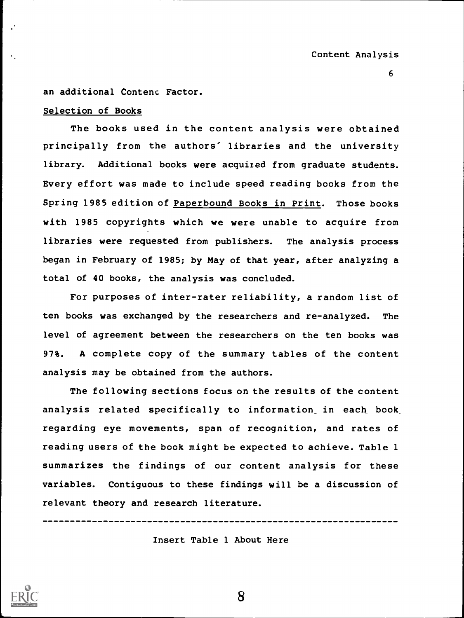an additional Content Factor.

# Selection of Books

The books used in the content analysis were obtained principally from the authors' libraries and the university library. Additional books were acquired from graduate students. Every effort was made to include speed reading books from the Spring 1985 edition of Paperbound Books in Print. Those books with 1985 copyrights which we were unable to acquire from libraries were requested from publishers. The analysis process began in February of 1985; by May of that year, after analyzing a total of 40 books, the analysis was concluded.

For purposes of inter-rater reliability, a random list of ten books was exchanged by the researchers and re-analyzed. The level of agreement between the researchers on the ten books was 97%. A complete copy of the summary tables of the content analysis may be obtained from the authors.

The following sections focus on the results of the content analysis related specifically to information in each book regarding eye movements, span of recognition, and rates of reading users of the book might be expected to achieve. Table 1 summarizes the findings of our content analysis for these variables. Contiguous to these findings will be a discussion of relevant theory and research literature.

----------------------------

Insert Table 1 About Here

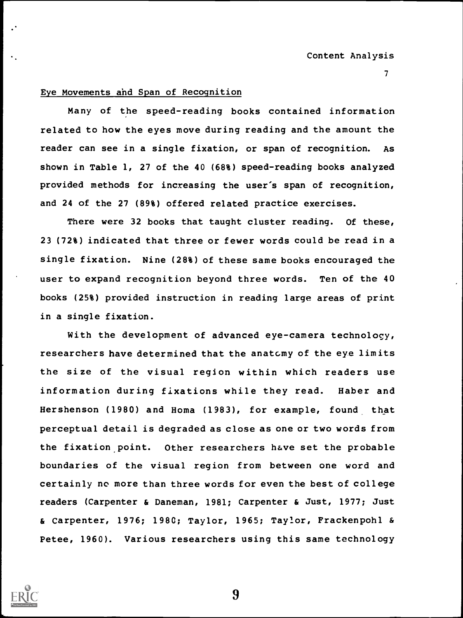# Eye Movements and Span of Recognition

Many of the speed-reading books contained information related to how the eyes move during reading and the amount the reader can see in a single fixation, or span of recognition. As shown in Table 1, 27 of the 40 (68%) speed-reading books analyzed provided methods for increasing the user's span of recognition, and 24 of the 27 (89%) offered related practice exercises.

There were 32 books that taught cluster reading. Of these, 23 (72%) indicated that three or fewer words could be read in a single fixation. Nine (28%) of these same books encouraged the user to expand recognition beyond three words. Ten of the 40 books (25%) provided instruction in reading large areas of print in a single fixation.

With the development of advanced eye-camera technology, researchers have determined that the anatomy of the eye limits the size of the visual region within which readers use information during fixations while they read. Haber and Hershenson (1980) and Homa (1983), for example, found that perceptual detail is degraded as close as one or two words from the fixation point. Other researchers have set the probable boundaries of the visual region from between one word and certainly no more than three words for even the best of college readers (Carpenter & Daneman, 1981; Carpenter & Just, 1977; Just & Carpenter, 1976; 198C; Taylor, 1965; Taylor, Frackenpohl & Petee, 1960). Various researchers using this same technology

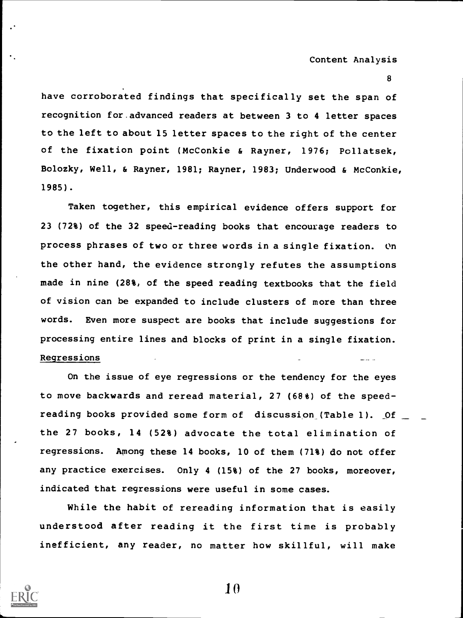have corroborated findings that specifically set the span of recognition for.advanced readers at between 3 to 4 letter spaces to the left to about 15 letter spaces to the right of the center of the fixation point (McConkie & Rayner, 1976; Pollatsek, Bolozky, Well, & Rayner, 1981; Rayner, 1983; Underwood & McConkie, 1985).

Taken together, this empirical evidence offers support for 23 (72%) of the 32 speed-reading books that encourage readers to process phrases of two or three words in a single fixation. On the other hand, the evidence strongly refutes the assumptions made in nine (28%, of the speed reading textbooks that the field of vision can be expanded to include clusters of more than three words. Even more suspect are books that include suggestions for processing entire lines and blocks of print in a single fixation. Regressions

On the issue of eye regressions or the tendency for the eyes to move backwards and reread material, 27 (68%) of the speedreading books provided some form of discussion (Table 1). Of \_ the 27 books, 14 (52%) advocate the total elimination of regressions. Among these 14 books, 10 of them (71%) do not offer any practice exercises. Only 4 (15%) of the 27 books, moreover, indicated that regressions were useful in some cases.

While the habit of rereading information that is easily understood after reading it the first time is probably inefficient, any reader, no matter how skillful, will make

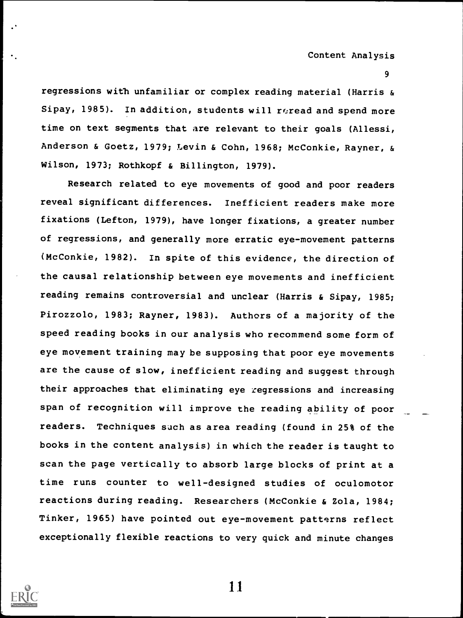Content Analysis

9

regressions with unfamiliar or complex reading material (Harris & Sipay, 1985). In addition, students will reread and spend more time on text segments that are relevant to their goals (Allessi, Anderson & Goetz, 1979; Levin & Cohn, 1968; McConkie, Rayner, & Wilson, 1973; Rothkopf & Billington, 1979).

Research related to eye movements of good and poor readers reveal significant differences. Inefficient readers make more fixations (Lefton, 1979), have longer fixations, a greater number of regressions, and generally more erratic eye-movement patterns (McConkie, 1982). In spite of this evidence, the direction of the causal relationship between eye movements and inefficient reading remains controversial and unclear (Harris & Sipay, 1985; Pirozzolo, 1983; Rayner, 1983). Authors of a majority of the speed reading books in our analysis who recommend some form of eye movement training may be supposing that poor eye movements are the cause of slow, inefficient reading and suggest through their approaches that eliminating eye regressions and increasing span of recognition will improve the reading ability of poor readers. Techniques such as area reading (found in 25% of the books in the content analysis) in which the reader is taught to scan the page vertically to absorb large blocks of print at a time runs counter to well-designed studies of oculomotor reactions during reading. Researchers (McConkie & Zola, 1984; Tinker, 1965) have pointed out eye-movement patterns reflect exceptionally flexible reactions to very quick and minute changes

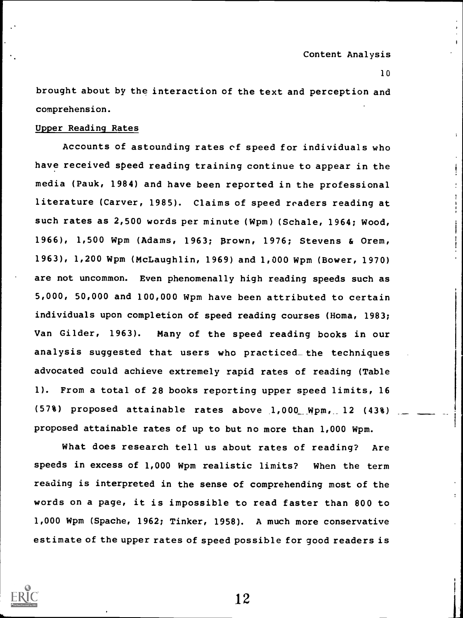1

brought about by the interaction of the text and perception and comprehension.

### Upper Reading Rates

Accounts of astounding rates of speed for individuals who have received speed reading training continue to appear in the media (Pauk, 1984) and have been reported in the professional literature (Carver, 1985). Claims of speed readers reading at such rates as 2,500 words per minute (Wpm) (Schale, 1964; Wood, 1966), 1,500 Wpm (Adams, 1963; Brown, 1976; Stevens & Orem, 1963), 1,200 Wpm (McLaughlin, 1969) and 1,000 Wpm (Bower, 1970) are not uncommon. Even phenomenally high reading speeds such as 5,000, 50,000 and 100,000 Wpm have been attributed to certain individuals upon completion of speed reading courses (Homa, 1983; Van Gilder, 1963). Many of the speed reading books in our analysis suggested that users who practiced\_ the techniques advocated could achieve extremely rapid rates of reading (Table 1). From a total of 28 books reporting upper speed limits, 16 (57%) proposed attainable rates above 1,000\_\_ Wpm,\_\_ 12 (43%) proposed attainable rates of up to but no more than 1,000 Wpm.

What does research tell us about rates of reading? Are speeds in excess of 1,000 Wpm realistic limits? When the term reading is interpreted in the sense of comprehending most of the words on a page, it is impossible to read faster than 800 to 1,000 Wpm (Spache, 1962; Tinker, 1958). A much more conservative estimate of the upper rates of speed possible for good readers is

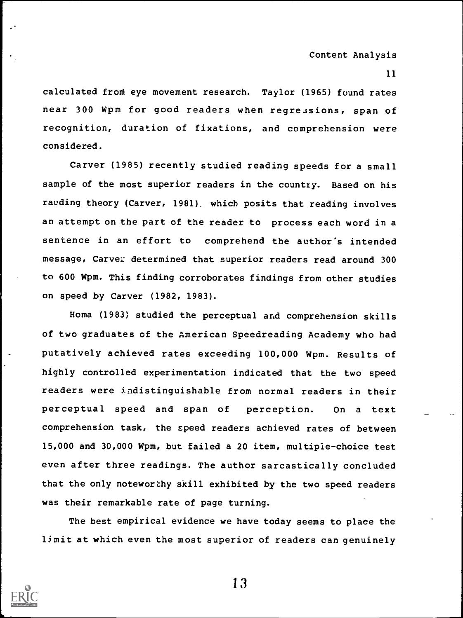Content Analysis

11

calculated front eye movement research. Taylor (1965) found rates near 300 Wpm for good readers when regressions, span of recognition, duration of fixations, and comprehension were considered.

Carver (1985) recently studied reading speeds for a small sample of the most superior readers in the country. Based on his rauding theory (Carver, 1981): which posits that reading involves an attempt on the part of the reader to process each word in a sentence in an effort to comprehend the author's intended message, Carver determined that superior readers read around 300 to 600 Wpm. This finding corroborates findings from other studies on speed by Carver (1982, 1983).

Homa (1983) studied the perceptual and comprehension skills of two graduates of the American Speedreading Academy who had putatively achieved rates exceeding 100,000 Wpm. Results of highly controlled experimentation indicated that the two speed readers were indistinguishable from normal readers in their perceptual speed and span of perception. On <sup>a</sup> text comprehension task, the speed readers achieved rates of between 15,000 and 30,000 Wpm, but failed a 20 item, multiple-choice test even after three readings. The author sarcastically concluded that the only noteworthy skill exhibited by the two speed readers was their remarkable rate of page turning.

The best empirical evidence we have today seems to place the limit at which even the most superior of readers can genuinely

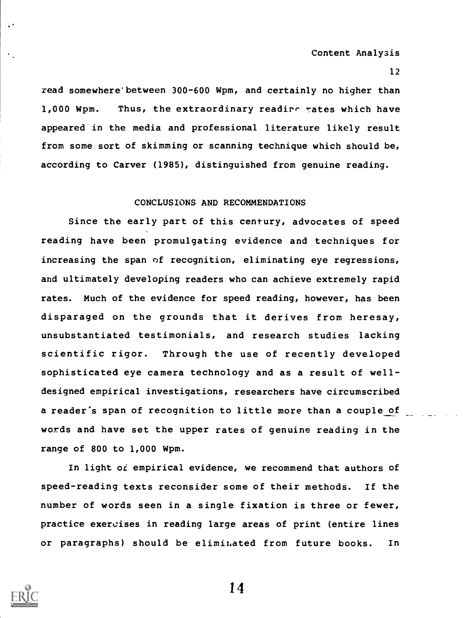Content Analysis

12

read somewhere' between 300-600 Wpm, and certainly no higher than 1,000 Wpm. Thus, the extraordinary readire rates which have appeared in the media and professional literature likely result from some sort of skimming or scanning technique which should be, according to Carver (1985), distinguished from genuine reading.

## CONCLUSIONS AND RECOMMENDATIONS

Since the early part of this century, advocates of speed reading have been promulgating evidence and techniques for increasing the span of recognition, eliminating eye regressions, and ultimately developing readers who can achieve extremely rapid rates. Much of the evidence for speed reading, however, has been disparaged on the grounds that it derives from heresay, unsubstantiated testimonials, and research studies lacking scientific rigor. Through the use of recently developed sophisticated eye camera technology and as a result of welldesigned empirical investigations, researchers have circumscribed a reader's span of recognition to little more than a couple of words and have set the upper rates of genuine reading in the range of 800 to 1,000 Wpm.

In light of empirical evidence, we recommend that authors of speed-reading texts reconsider some of their methods. If the number of words seen in a single fixation is three or fewer, practice exercises in reading large areas of print (entire lines or paragraphs) should be eliminated from future books. In



 $\ddot{\phantom{1}}$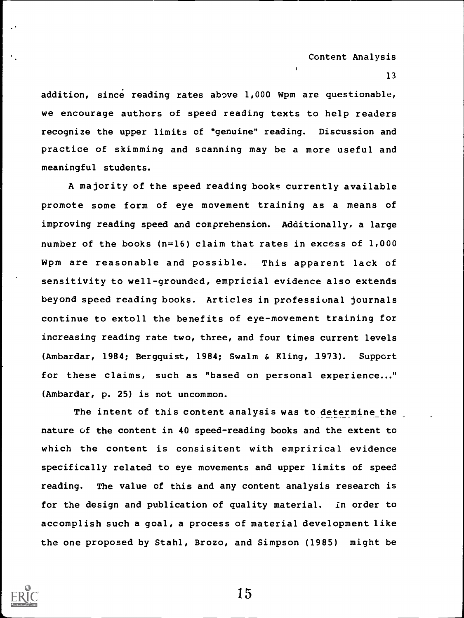addition, since reading rates above 1,000 Wpm are questionable, we encourage authors of speed reading texts to help readers recognize the upper limits of "genuine" reading. Discussion and practice of skimming and scanning may be a more useful and meaningful students.

A majority of the speed reading books currently available promote some form of eye movement training as a means of improving reading speed and comprehension. Additionally, a large number of the books (n=16) claim that rates in excess of 1,000 Wpm are reasonable and possible. This apparent lack of sensitivity to well-grounded, empricial evidence also extends beyond speed reading books. Articles in professional journals continue to extoll the benefits of eye-movement training for increasing reading rate two, three, and four times current levels (Ambardar, 1984; Bergquist, 1984; Swalm & Kling, 1973). Support for these claims, such as "based on personal experience..." (Ambardar, p. 25) is not uncommon.

The intent of this content analysis was to determine the nature of the content in 40 speed-reading books and the extent to which the content is consisitent with emprirical evidence specifically related to eye movements and upper limits of speed reading. The value of this and any content analysis research is for the design and publication of quality material. in order to accomplish such a goal, a process of material development like the one proposed by Stahl, Brozo, and Simpson (1985) might be

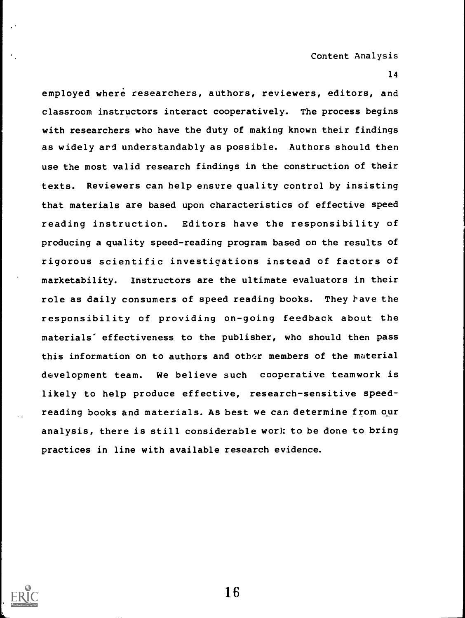employed where researchers, authors, reviewers, editors, and classroom instructors interact cooperatively. The process begins with researchers who have the duty of making known their findings as widely ard understandably as possible. Authors should then use the most valid research findings in the construction of their texts. Reviewers can help ensure quality control by insisting that materials are based upon characteristics of effective speed reading instruction. Editors have the responsibility of producing a quality speed-reading program based on the results of rigorous scientific investigations instead of factors of marketability. Instructors are the ultimate evaluators in their role as daily consumers of speed reading books. They have the responsibility of providing on-going feedback about the materials' effectiveness to the publisher, who should then pass this information on to authors and other members of the material development team. We believe such cooperative teamwork is likely to help produce effective, research-sensitive speedreading books and materials. As best we can determine from our analysis, there is still considerable work to be done to bring practices in line with available research evidence.

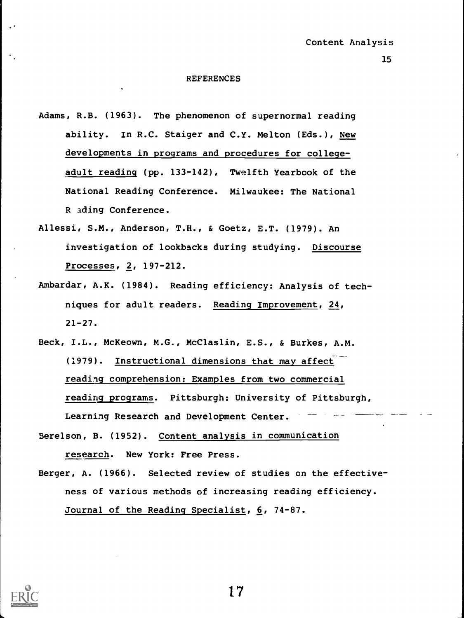#### REFERENCES

- Adams, R.B. (1963). The phenomenon of supernormal reading ability. In R.C. Staiger and C.Y. Melton (Eds.), New developments in programs and procedures for collegeadult reading (pp. 133-142), Twelfth Yearbook of the National Reading Conference. Milwaukee: The National R ading Conference.
- Allessi, S.M., Anderson, T.H., & Goetz, E.T. (1979). An investigation of lookbacks during studying. Discourse Processes, 2, 197-212.
- Ambardar, A.K. (1984). Reading efficiency: Analysis of techniques for adult readers. Reading Improvement, 24,  $21 - 27$ .
- Beck, I.L., McKeown, M.G., McClaslin, E.S., & Burkes, A.M. (1979). Instructional dimensions that may affect reading comprehension: Examples from two commercial reading programs. Pittsburgh: University of Pittsburgh, Learning Research and Development Center.
- Berelson, B. (1952). Content analysis in communication research. New York: Free Press.
- Berger, A. (1966). Selected review of studies on the effectiveness of various methods of increasing reading efficiency. Journal of the Reading Specialist, 6, 74-87.



17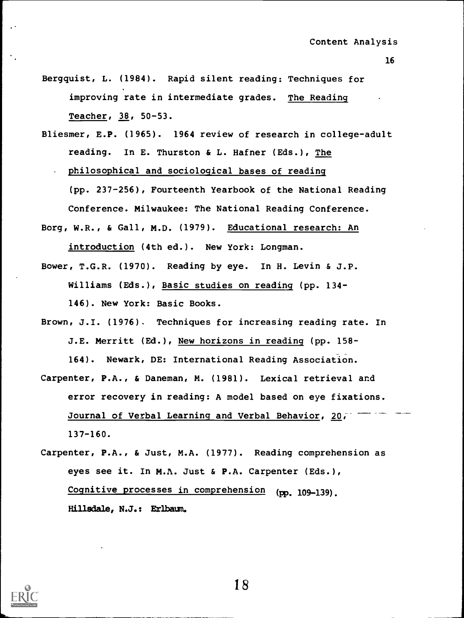- Bergquist, L. (1984). Rapid silent reading: Techniques for improving rate in intermediate grades. The Reading Teacher, 38, 50-53.
- Bliesmer, E.P. (1965). 1964 review of research in college-adult reading. In E. Thurston & L. Hafner (Eds.), The

philosophical and sociological bases of reading

(pp. 237-256), Fourteenth Yearbook of the National Reading Conference. Milwaukee: The National Reading Conference.

- Borg, W.R., & Gall, M.D. (1979). Educational research: An introduction (4th ed.). New York: Longman.
- Bower, T.G.R. (1970). Reading by eye. In H. Levin & J.P. Williams (Eds.), Basic studies on reading (pp. 134- 146). New York: Basic Books.
- Brown, J.I. (1976). Techniques for increasing reading rate. In J.E. Merritt (Ed.), New horizons in reading (pp. 158-

164). Newark, DE: International Reading Association.

- Carpenter, P.A., & Daneman, M. (1981). Lexical retrieval and error recovery in reading: A model based on eye fixations. Journal of Verbal Learning and Verbal Behavior, 20, 137-160.
- Carpenter, P.A., & Just, M.A. (1977). Reading comprehension as eyes see it. In M.A. Just & P.A. Carpenter (Eds.), Cognitive processes in comprehension (pp. 109-139). Hillsdale, N.J.: Erlbaum.



18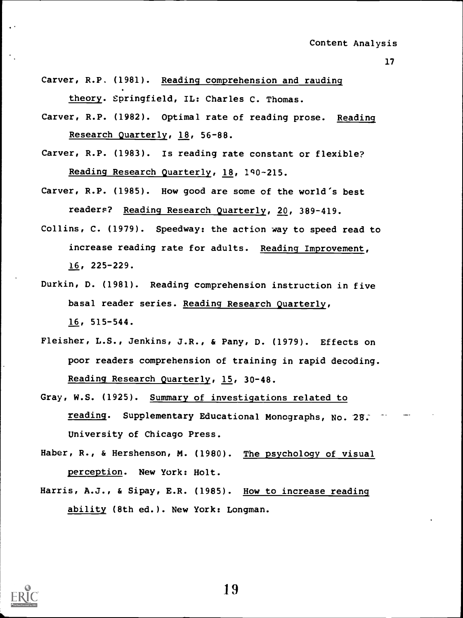- Carver, R.P. (1981). Reading comprehension and rauding theory. Springfield, IL: Charles C. Thomas.
- Carver, R.P. (1982). Optimal rate of reading prose. Reading Research Quarterly, 18, 56-88.
- Carver, R.P. (1983). Is reading rate constant or flexible? Reading Research Quarterly, 18, 140-215.
- Carver, R.P. (1985). How good are some of the world's best readers? Reading Research Quarterly, 20, 389-419.
- Collins, C. (1979). Speedway: the action way to speed read to increase reading rate for adults. Reading Improvement, 16, 225-229.
- Durkin, D. (1981). Reading comprehension instruction in five basal reader series. Reading Research Quarterly, 16, 515-544.
- Fleisher, L.S., Jenkins, J.R., & Pany, D. (1979). Effects on poor readers comprehension of training in rapid decoding. Reading Research Quarterly, 15, 30-48.
- Gray, W.S. (1925). Summary of investigations related to reading. Supplementary Educational Monographs, No. 28: University of Chicago Press.
- Haber, R., & Hershenson, M. (1980). The psychology of visual perception. New York: Holt.
- Harris, A.J., & Sipay, E.R. (1985). How to increase reading ability (8th ed.). New York: Longman.

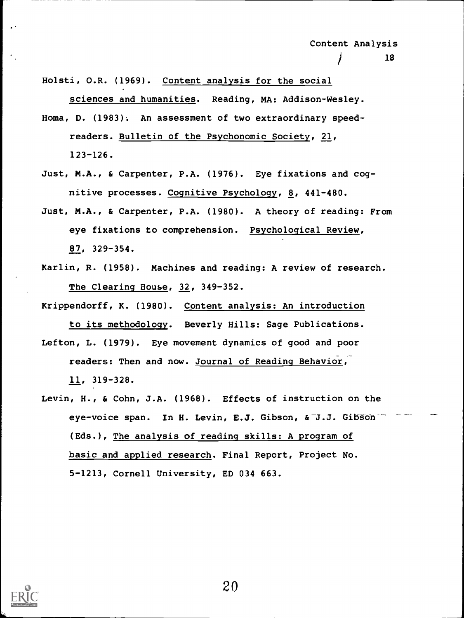Holsti, O.R. (1969). Content analysis for the social sciences and humanities. Reading, MA: Addison-Wesley.

- Homa, D. (1983). An assessment of two extraordinary speedreaders. Bulletin of the Psychonomic Society, 21, 123-126.
- Just, M.A., & Carpenter, P.A. (1976). Eye fixations and cognitive processes. Cognitive Psychology, 8, 441-480.
- Just, M.A., & Carpenter, P.A. (1980). A theory of reading: From eye fixations to comprehension. Psychological Review, 87, 329-354.
- Karlin, R. (1958). Machines and reading: A review of research. The Clearing House, 32, 349-352.

Krippendorff, K. (1980). Content analysis: An introduction

to its methodology. Beverly Hills: Sage Publications. Lefton, L. (1979). Eye movement dynamics of good and poor

readers: Then and now. Journal of Reading Behavior,

11, 319-328.

Levin, H., & Cohn, J.A. (1968). Effects of instruction on the eye-voice span. In H. Levin, E.J. Gibson, & J.J. Gibson (Eds.), The analysis of reading skills: A program of basic and applied research. Final Report, Project No. 5-1213, Cornell University, ED 034 663.

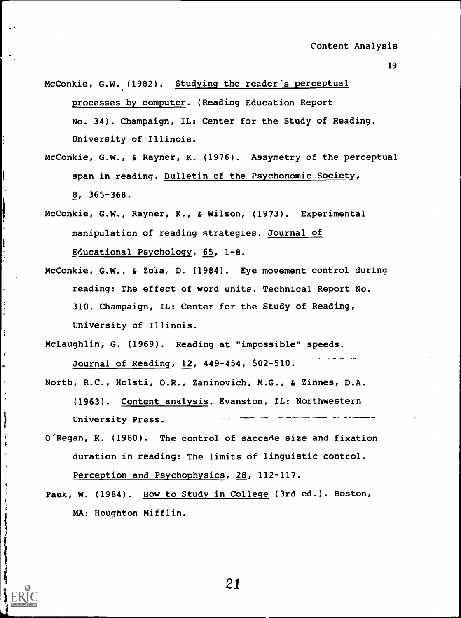McConkie, G.W. (1982). Studying the reader's perceptual processes by computer. (Reading Education Report No. 34). Champaign, IL: Center for the Study of Reading, University of Illinois.

- McConkie, G.W., & Rayner, K. (1976). Assymetry of the perceptual span in reading. Bulletin of the Psychonomic Society, 8, 365-368.
- McConkie, G.W., Rayner, K., & Wilson, (1973). Experimental manipulation of reading strategies. Journal of

Educational Psychology, 65, 1-8.

i i

 $\cdots$ 

1a na h

ì

 $\boldsymbol{i}$  $\mathbf{r}$ 

 $\ddot{\cdot}$ 

- McConkie, G.W., & Zola, D. (1984). Eye movement control during reading: The effect of word units. Technical Report No. 310. Champaign, IL: Center for the Study of Reading, University of Illinois.
- McLaughlin, G. (1969). Reading at "impossible" speeds. Journal of Reading, 12, 449-454, 502-510.
- North, R.C., HoIsti, O.R., Zaninovich, M.G., & Zinnes, D.A. (1963). Content\_analysis. Evanston, IL: Northwestern University Press.
- O'Regan, K. (1980). The control of saccade size and fixation duration in reading: The limits of linguistic control. Perception and Psychophysics, 28, 112-117.
- Pauk, W. (1984). How to Study in College (3rd ed.). Boston, MA: Houghton Mifflin.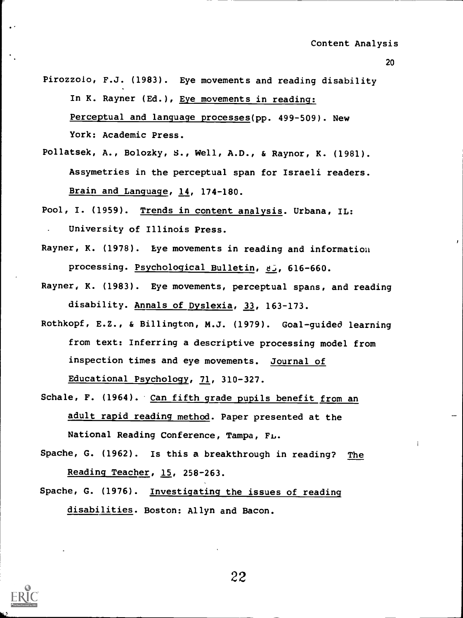- Pirozzolo, F.J. (1983). Eye movements and reading disability In K. Rayner (Ed.), Eye movements in reading: Perceptual and language processes(pp. 499-509). New York: Academic Press.
- Pollatsek, A., Bolozky, S., Well, A.D., & Raynor, K. (1981). Assymetries in the perceptual span for Israeli readers. Brain and Language, 14, 174-180.
- Pool, I. (1959). Trends in content analysis. Urbana, IL: University of Illinois Press.
- Rayner, K. (1978). Eye movements in reading and information processing. Psychological Bulletin, &J, 616-660.
- Rayner, K. (1983). Eye movements, perceptual spans, and reading disability. Annals of Dyslexia, 33, 163-173.
- Rothkopf, E.Z., & Billington, M.J. (1979). Goal-guided learning from text: Inferring a descriptive processing model from inspection times and eye movements. Journal of Educational Psychology, 71, 310-327.
- Schale, F. (1964). Can fifth grade pupils benefit from an adult rapid reading method. Paper presented at the National Reading Conference, Tampa,
- Spache, G. (1962). Is this a breakthrough in reading? The Reading Teacher, 15, 258-263.
- Spache, G. (1976). Investigating the issues of reading disabilities. Boston: Allyn and Bacon.

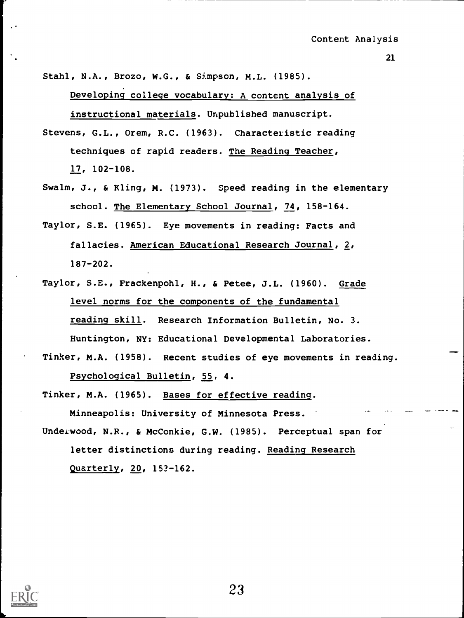Stahl, N.A., Brozo, W.G., & Simpson, M.L. (1985).

Developing college vocabulary: A content analysis of instructional materials. Unpublished manuscript.

Stevens, G.L., Orem, R.C. (1963). Characteristic reading techniques of rapid readers. The Reading Teacher, 17, 102-108.

- Swalm, J., & Kling, M. (1973). Speed reading in the elementary school. The Elementary School Journal, 74, 158-164.
- Taylor, S.E. (1965). Eye movements in reading: Facts and fallacies. American Educational Research Journal, 2, 187-202.

Taylor, S.E., Frackenpohl, H., & Petee, J.L. (1960). Grade level norms for the components of the fundamental reading skill. Research Information Bulletin, No. 3. Huntington, NY: Educational Developmental Laboratories.

Tinker, M.A. (1958). Recent studies of eye movements in reading. Psychological Bulletin, 55, 4.

Tinker, M.A. (1965). Bases for effective reading.

Minneapolis: University of Minnesota Press.

Underwood, N.R., & McConkie, G.W. (1985). Perceptual span for letter distinctions during reading. Reading Research Quarterly, 20, 153-162.

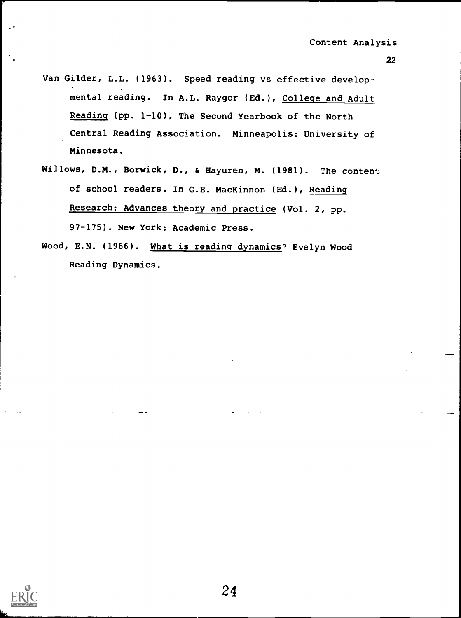Van Gilder, L.L. (1963). Speed reading vs effective developmental reading. In A.L. Raygor (Ed.), College and Adult Reading (pp. 1-10), The Second Yearbook of the North Central Reading Association. Minneapolis: University of Minnesota.

. 22

- Willows, D.M., Borwick, D., & Hayuren, M. (1981). The conten'; of school readers. In G.E. MacKinnon (Ed.), Reading Research: Advances theory and practice (Vol. 2, pp. 97-175). New York: Academic Press.
- Wood, E.N. (1966). What is reading dynamics' Evelyn Wood Reading Dynamics.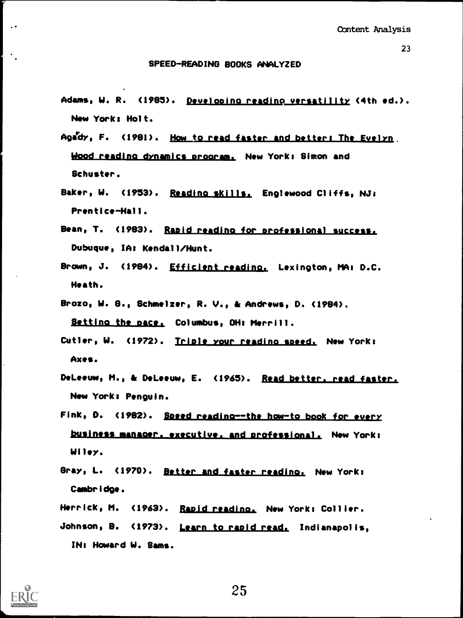## SPEED-READING BOOKS ANALYZED

- Adams, W. R. (1985). Developing reading versatility (4th ed.). New Yorks Holt.
- Agady, F. (1981). How to read faster and betters The Evelyn. Wood reading dynamics program, New York: Simon and Schuster.
- Baker, W. (1953). Reading skills. Englewood Cliffs, NJ: Prentice-Hall.
- Bean, T. (1983). Rapid readino for professional success. Dubuque, IAt Kendall /Hunt.
- Brown, J. (1984). Efficient readino. Lexington, MA: D.C. Heath.
- Brozo, W. B., Schmelzer, R. V., & Andrews, D. (1984). Setting the pace, Columbus, OH: Merrill.
- Cutler, W. (1972). Triple your reading speed. New York: Axes.
- DeLeeuw, M., & DeLeeuw, E. (1965). Read better. read faster. New Yorks Penguin.
- Fink, D. (1982). Speed reading--the how-to book for every business manaoer. executive. and professional. New York. Wiley.
- Gray, L. (1970). Better and faster reading. New York: Cambridge.
- Herrick, M. (1963). Rapid readino. New York: Collier. Johnson, B. (1973). Learn to rapid read. Indianapolis, IN. Howard W. Sams.

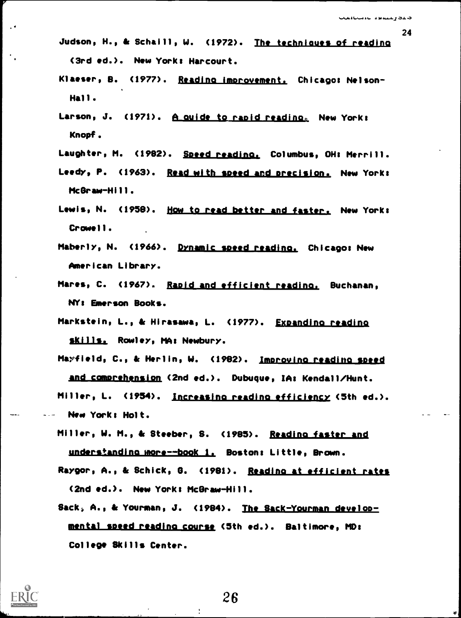- Judson, H., & Schaill, W. (1972). The techniques of reading (3rd ed.). New Yorke Harcourt.
- Klaeser, B. (1977). Reading improvement. Chicago: Nelson-Hall.
- Larson, J. (1971). A quide to rapid reading, New York: Knopf.
- Laughter, M. (1982). Speed readino. Columbus, OH. Merrill.
- Leedy, P. (1963). Read with speed and precision. New York: McGraw-Hill.
- Lewis, N. (1958). How to read better and faster. New York: Crowell.
- Maberly, N. (1966). Dynamic speed reading. Chicago: New American Library.
- Mares, C. (1967). Rapid and efficient readina. Buchanan, NY. Emerson Books.
- Markstein, L., & Hirasawa, L. (1977). Expandino readina Skills. Rowley, MA: Newbury.
- Mayfield, C., & Merlin, W. (1982). Improving readina speed and comprehension (2nd ed.). Dubuque, IA: Kendall/Hunt. Miller, L. (1954). Increasino readino efficiency (5th ed.). New York: Holt.
- Miller, W. M., & Steeber, S. (1985). Reading faster and understanding more--book 1. Boston: Little, Brown.
- Raygor, A., & Schick, G. (1981). Reading at efficient rates (2nd ed.). New Yorke McGraw-Hill.
- Sack, A., & Yourman, J. (1984). The Sack-Yourman developmental speed reading course (5th ed.). Baltimore, MD: College Skills Center.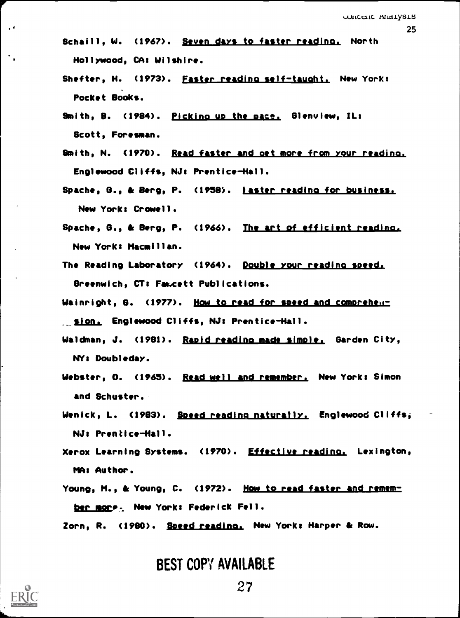Schaill, W. (1967). Seven days to faster reading. North Hollywood, CA: Wilshire.

- Shefter, H. (1973). Faster reading self-tauaht. New Yorks Pocket Books.
- Smith, B. (1984). <u>Pickino up the pace.</u> Glenview, IL: Scott, Foresman.
- Smith, N. (1970). <u>Read faster and get more from your reading.</u> Englewood Cliffs, NJ: Prentice-Hall.
- Spache, 8., & Berg, P. (1958). 'aster readino for business., New York: Crowell.
- Spache, 8., & Berg, P. (1966). The art of efficient reading., New York: Macmillan.
- The Reading Laboratory (1964). Double your reading speed. Greenwich, CT: Fawcett Publications.
- Wainright, 8. (1977). How to read for speed and comprehen-\_\_pion., Englewood Cliffs, NJ: Prentice-Hall.
- Waldman, J. (1981). Rapid readino made simple. Garden City, NY: Doubleday.
- Webster, O. (1965). <u>Read well and remember.</u> New York: Simon and Schuster.
- Wenick, L. (1983). Speed reading naturally, Englewood Cliffs; NJ: Prentice-Hall.
- Xerox Learning Systems. (1970). Effective reading. Lexington, MA: Author.
- Young, M., & Young, C. (1972). How to read faster and remember more. New York: Federick Fell.

Zorn, R. (1980). Speed reading, New York: Harper & Row.

BEST COPY AVAILABLE



 $\epsilon$  (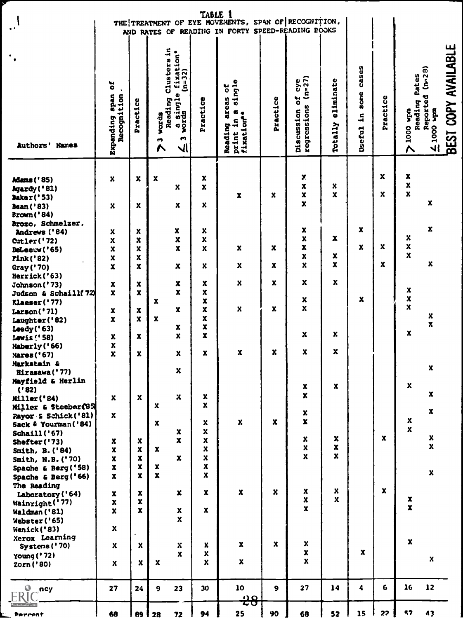| $\mathcal{L}$                                                                          | TABLE 1<br>THE TREATMENT OF EYE MOVEMENTS, SPAN OF RECOGNITION,<br>AND RATES OF READING IN FORTY SPEED-READING POOKS |                                                            |                                                                                                                         |                                                                |                                                                                            |                  |                                                                |                                                        |                                      |                    |                                               |                                                            |  |
|----------------------------------------------------------------------------------------|----------------------------------------------------------------------------------------------------------------------|------------------------------------------------------------|-------------------------------------------------------------------------------------------------------------------------|----------------------------------------------------------------|--------------------------------------------------------------------------------------------|------------------|----------------------------------------------------------------|--------------------------------------------------------|--------------------------------------|--------------------|-----------------------------------------------|------------------------------------------------------------|--|
| $\bullet$<br>$\bullet$<br>Authors' Names                                               | ŏ<br>$\ddot{\phantom{0}}$<br>neds<br>Recognition<br>Expanding                                                        | Practice                                                   | Clusters in<br>: fixation*<br>(n=32)<br>a single<br>words<br>Reading<br>words<br>W<br>$\blacksquare$<br>$\sqrt{ }$<br>∧ | Practice                                                       | single<br>ă<br><b>areas</b><br>$\bullet$<br>$\bullet$<br>fixation<br>S<br>Reading<br>print | Practice         | $(n=27)$<br>eye<br>ă<br>regressions<br>Discussion              | eliminate<br>Totally                                   | <b>Cases</b><br>some<br>1n<br>Useful | Practice           | Rates<br>Reading<br>mdw 0001<br>$\ddot{\sim}$ | BEST COPY AVAILABLE<br>Reported (n-28)<br>$\frac{1000}{2}$ |  |
| <b>Adams ('85)</b><br>Agardy ('81)                                                     | $\pmb{\mathsf{x}}$                                                                                                   | $\pmb{\mathsf{x}}$                                         | $\mathbf x$<br>$\mathbf x$                                                                                              | X<br>X                                                         |                                                                                            |                  | Y.<br>$\boldsymbol{x}$                                         | $\pmb{\mathsf{x}}$                                     |                                      | $\boldsymbol{x}$   | $\pmb{\mathsf{x}}$<br>$\pmb{\mathsf{x}}$      |                                                            |  |
| <b>Baker('53)</b><br><b>Bean ('83)</b><br><b>Brown</b> ('84)                           | $\boldsymbol{\mathsf{x}}$                                                                                            | X                                                          | $\pmb{\mathsf{x}}$                                                                                                      | $\boldsymbol{\mathsf{x}}$                                      | $\boldsymbol{x}$                                                                           | X                | $\boldsymbol{x}$<br>$\mathbf x$                                | $\mathbf x$                                            |                                      | $\mathbf{x}$       | $\mathbf{x}$                                  | $\pmb{\mathsf{x}}$                                         |  |
| Brozo, Schmelzer,<br>Andrews ('84)<br>Cutler('72)<br>DeLeeuw ('65)<br><b>Pink('82)</b> | $\pmb{\mathsf{x}}$<br>X<br>X<br>X                                                                                    | X<br>X<br>x<br>$\mathbf x$                                 | X<br>X<br>X                                                                                                             | x<br>X<br>X                                                    | $\mathbf{x}$                                                                               | $\boldsymbol{x}$ | $\boldsymbol{x}$<br>X<br>$\mathbf x$<br>X                      | $\pmb{\chi}$<br>$\boldsymbol{x}$                       | $\boldsymbol{x}$<br>$\boldsymbol{x}$ | X                  | X<br>X<br>$\mathbf x$                         | $\mathbf x$                                                |  |
| Gray ('70)<br>Herrick ('63)                                                            | X                                                                                                                    | X                                                          | $\pmb{\chi}$                                                                                                            | $\mathbf x$<br>$\pmb{\mathsf{x}}$                              | $\boldsymbol{x}$<br>$\boldsymbol{\mathsf{x}}$                                              | x<br>X.          | $\mathbf x$<br>$\boldsymbol{x}$                                | $\mathbf{x}$<br>$\mathbf{x}$                           |                                      | $\mathbf{x}$       |                                               | $\pmb{\mathsf{x}}$                                         |  |
| Johnson ('73)<br>Judson & Schaill(72)<br>Klaeser ('77)                                 | X<br>X.                                                                                                              | X<br>$\mathbf x$                                           | X<br>$\mathbf x$<br>$\boldsymbol{x}$                                                                                    | $\pmb{\mathsf{x}}$<br>$\pmb{\mathsf{x}}$<br>$\boldsymbol{x}$   | $\boldsymbol{x}$                                                                           | X                | X<br>$\mathbf{x}$                                              |                                                        | x                                    |                    | X<br>X<br>$\mathbf{x}$                        |                                                            |  |
| Larson('71)<br>Laughter ('82)<br>Leedy('63)                                            | X<br>X                                                                                                               | x<br>$\mathbf x$                                           | $\pmb{\mathsf{x}}$<br>$\mathbf x$<br>X                                                                                  | $\pmb{\mathsf{x}}$<br>$\boldsymbol{x}$                         |                                                                                            |                  |                                                                | X                                                      |                                      |                    | $\boldsymbol{\mathsf{x}}$                     | $\pmb{\mathsf{x}}$<br>$\pmb{\mathsf{x}}$                   |  |
| Lewis ('58)<br>Maberly ('66)<br>Nares ('67)                                            | X<br>X<br>X                                                                                                          | X<br>X                                                     | x<br>X                                                                                                                  | $\pmb{\mathsf{x}}$<br>X                                        | X                                                                                          | x                | x<br>$\mathbf x$                                               | X                                                      |                                      |                    |                                               |                                                            |  |
| Markstein &<br>Hirasawa ('77)<br>Mayfield & Herlin                                     |                                                                                                                      |                                                            | $\mathbf{x}$                                                                                                            |                                                                |                                                                                            |                  |                                                                |                                                        |                                      |                    |                                               | $\pmb{\mathsf{x}}$                                         |  |
| ('82)<br>Miller('84)<br>Miller & Steeber(85)                                           | $\boldsymbol{x}$                                                                                                     | $\mathbf{x}$                                               | $\mathbf x$<br>$\pmb{\mathsf{x}}$                                                                                       | $\boldsymbol{x}$<br>$\mathbf{x}$                               |                                                                                            |                  | $\mathbf{x}$<br>$\pmb{\mathsf{x}}$                             | $\mathbf{x}$                                           |                                      |                    | $\pmb{\mathsf{x}}$                            | $\boldsymbol{x}$                                           |  |
| Payor & Schick ('81)<br>Sack & Yourman('84)<br>Schaill('67)                            | $\boldsymbol{x}$                                                                                                     |                                                            | $\pmb{\mathsf{x}}$<br>X                                                                                                 | $\pmb{\mathsf{x}}$<br>$\boldsymbol{x}$                         | $\mathbf{x}$                                                                               | $\mathbf{x}$     | $\pmb{\mathsf{x}}$<br>$\pmb{\chi}$                             |                                                        |                                      |                    | $\pmb{\mathsf{x}}$<br>$\mathbf{x}$            | $\pmb{\mathsf{x}}$                                         |  |
| Shefter ('73)<br>Smith, B. ('84)<br>Smith, N.B. ('70)                                  | $\boldsymbol{\mathrm{x}}$<br>$\pmb{\mathsf{x}}$<br>$\pmb{\mathsf{x}}$                                                | X<br>$\boldsymbol{x}$<br>$\pmb{\mathsf{x}}$                | $\pmb{\mathsf{x}}$<br>$\boldsymbol{x}$<br>$\boldsymbol{x}$                                                              | X<br>X<br>X                                                    |                                                                                            |                  | $\pmb{\mathsf{x}}$<br>$\pmb{\mathsf{x}}$<br>$\mathbf{x}$       | $\boldsymbol{x}$<br>$\pmb{\mathsf{x}}$<br>$\mathbf{x}$ |                                      | $\boldsymbol{x}$   |                                               | $\pmb{\mathsf{x}}$<br>$\mathbf{x}$                         |  |
| Spache & Berg('58)<br>Spache & Berg('66)<br>The Reading                                | $\pmb{\mathsf{x}}$<br>$\mathbf{x}$                                                                                   | $\pmb{\chi}$<br>$\boldsymbol{x}$                           | $\pmb{\mathsf{x}}$<br>$\mathbf{x}$                                                                                      | X<br>$\mathbf x$                                               |                                                                                            |                  |                                                                |                                                        |                                      |                    |                                               | $\pmb{\mathsf{x}}$                                         |  |
| Laboratory ('64)<br>Wainright <sup>('77)</sup><br>Waldman ('81)                        | $\boldsymbol{x}$<br>$\boldsymbol{x}$<br>$\pmb{\mathsf{x}}$                                                           | $\boldsymbol{x}$<br>$\pmb{\mathsf{x}}$<br>$\boldsymbol{x}$ | $\pmb{\mathsf{x}}$<br>$\pmb{\mathsf{x}}$                                                                                | $\mathbf x$<br>$\boldsymbol{x}$                                | $\pmb{\mathsf{x}}$                                                                         | $\mathbf{x}$     | $\pmb{\mathsf{x}}$<br>$\pmb{\mathsf{x}}$<br>$\pmb{\mathsf{x}}$ | $\pmb{\mathsf{x}}$<br>$\mathbf{x}$                     |                                      | $\pmb{\mathsf{x}}$ | $\frac{x}{x}$                                 |                                                            |  |
| Webster ('65)<br>Wenick ('83)<br>Xerox Learning                                        | $\boldsymbol{x}$                                                                                                     |                                                            | $\mathbf x$                                                                                                             |                                                                |                                                                                            |                  |                                                                |                                                        |                                      |                    |                                               |                                                            |  |
| Systems ('70)<br>Young ('72)<br>Zorn ('80)                                             | $\boldsymbol{x}$<br>$\mathbf{x}$                                                                                     | $\mathbf{x}$<br>X                                          | x<br>$\mathbf x$<br>$\boldsymbol{\mathsf{x}}$                                                                           | $\pmb{\mathsf{x}}$<br>$\pmb{\mathsf{x}}$<br>$\pmb{\mathsf{x}}$ | $\pmb{\mathsf{x}}$<br>$\pmb{\mathsf{x}}$                                                   | $\mathbf{x}$     | $\pmb{\mathsf{x}}$<br>X<br>x                                   |                                                        | $\mathbf{x}$                         |                    | $\mathbf{x}$                                  | $\boldsymbol{x}$                                           |  |
| $\Theta$ ncy                                                                           | 27                                                                                                                   | 24                                                         | 23<br>9                                                                                                                 | 30                                                             | 10                                                                                         | $\bullet$        | 27                                                             | 14                                                     | 4                                    | $\mathbf{G}$       | 16                                            | 12                                                         |  |
| Parrent                                                                                | 68                                                                                                                   | <b>89  </b>                                                | 72<br>28                                                                                                                | 94                                                             | 28<br>25                                                                                   | 90               | 68                                                             | 52                                                     | 15                                   | 22                 | 57                                            | 43                                                         |  |
|                                                                                        |                                                                                                                      |                                                            |                                                                                                                         |                                                                |                                                                                            |                  |                                                                |                                                        |                                      |                    |                                               |                                                            |  |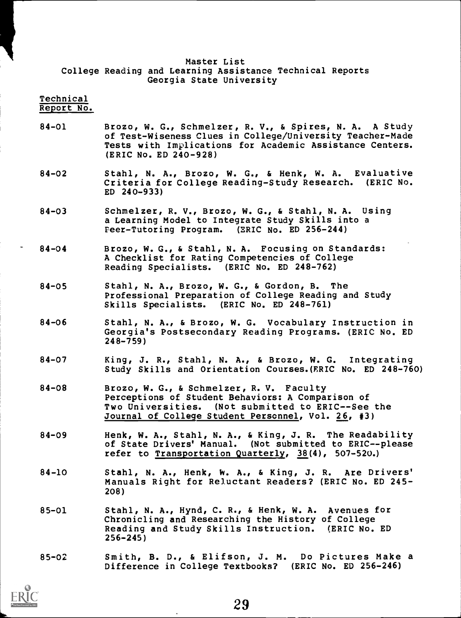### Master List College Reading and Learning Assistance Technical Reports Georgia State University

#### Technical Report No.

- 84-01 Brozo, W. G., Schmelzer, R. V., & Spires, N. A. A Study of Test-Wiseness Clues in College/University Teacher-Made Tests with Implications for Academic Assistance Centers. (ERIC No. ED 240-928)
- 84-02 Stahl, N. A., Brozo, W. G., & Henk, W. A. Evaluative Criteria for College Reading-Study Research. (ERIC No. ED 240-933)
- 84-03 Schmelzer, R. V., Brozo, W. G., & Stahl, N. A. Using a Learning Model to Integrate Study Skills into a Peer-Tutoring Program. (ERIC No. ED 256-244)
- 84-04 Brozo, W. G., & Stahl, N. A. Focusing on Standards: A Checklist for Rating Competencies of College Reading Specialists. (ERIC No. ED 248-762)
- 84-05 Stahl, N. A., Brozo, W. G., & Gordon, B. The Professional Preparation of College Reading and Study Skills Specialists. (ERIC No. ED 248-761)
- 84-06 Stahl, N. A., & Brozo, W. G. Vocabulary Instruction in Georgia's Postsecondary Reading Programs. (ERIC No. ED 248-759)
- 84-07 King, J. R., Stahl, N. A., & Brozo, W. G. Integrating Study Skills and Orientation Courses.(ERIC No. ED 248-760)
- 84-08 Brozo, W. G., & Schmelzer, R. V. Faculty Perceptions of Student Behaviors: A Comparison of Two Universities. (Not submitted to ERIC--See the Journal of College Student Personnel, Vol. 26, #3)
- 84-09 Henk, W. A., Stahl, N. A., & King, J. R. The Readability of State Drivers' Manual. (Not submitted to ERIC--please refer to Transportation Quarterly,  $38(4)$ , 507-520.)
- 84-10 Stahl, N. A., Henk, W. A., & King, J. R. Are Drivers' Manuals Right for Reluctant Readers? (ERIC No. ED 245- 208)
- 85-01 Stahl, N. A., Hynd, C. R., & Henk, W. A. Avenues for Chronicling and Researching the History of College Reading and Study Skills Instruction. (ERIC No. ED 256-245)
- 85-02 Smith, B. D., & Elifson, J. M. Do Pictures Make a Difference in College Textbooks? (ERIC No. ED 256-246)